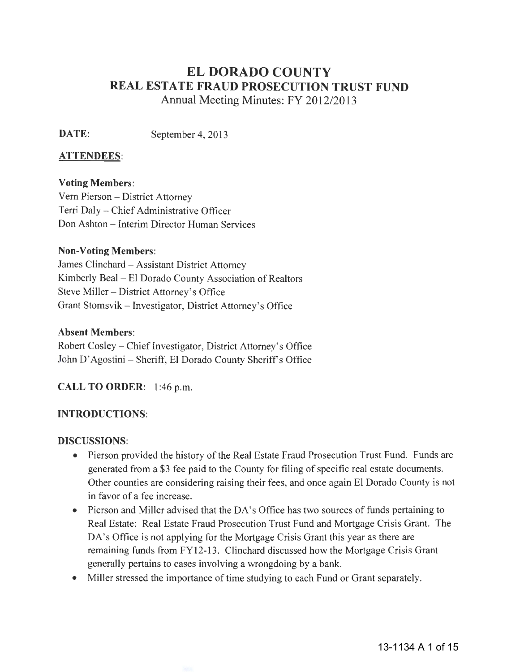# **ELDORADO COUNTY REAL ESTATE FRAUD PROSECUTION TRUST FUND**

Annual Meeting Minutes: FY 2012/2013

**DATE:** September 4, 2013

#### **ATTENDEES:**

## **Voting Members:**

Vern Pierson- District Attorney Terri Daly- Chief Administrative Officer Don Ashton- Interim Director Human Services

#### **Non-Voting Members:**

James Clinchard - Assistant District Attorney Kimberly Beal - El Dorado County Association of Realtors Steve Miller- District Attorney's Office Grant Stomsvik- Investigator, District Attorney's Office

#### **Absent Members:**

Robert Cosley – Chief Investigator, District Attorney's Office John D'Agostini - Sheriff, El Dorado County Sheriff's Office

**CALL TO ORDER: 1** :46 p.m.

#### **INTRODUCTIONS:**

#### **DISCUSSIONS:**

- Pierson provided the history of the Real Estate Fraud Prosecution Trust Fund. Funds are generated from a \$3 fee paid to the County for filing of specific real estate documents. Other counties are considering raising their fees, and once again El Dorado County is not in favor of a fee increase.
- Pierson and Miller advised that the DA's Office has two sources of funds pertaining to Real Estate: Real Estate Fraud Prosecution Trust Fund and Mortgage Crisis Grant. The DA's Office is not applying for the Mortgage Crisis Grant this year as there are remaining funds from FY12-13. Clinchard discussed how the Mortgage Crisis Grant generally pertains to cases involving a wrongdoing by a bank.
- Miller stressed the importance of time studying to each Fund or Grant separately.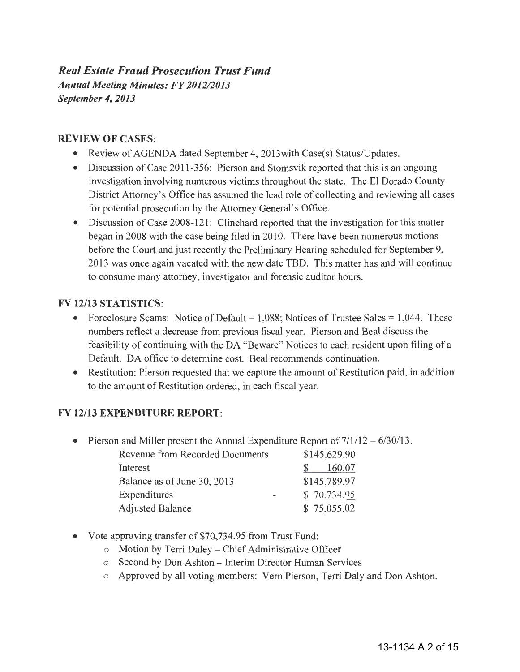## *Real Estate Fraud Prosecution Trust Fund Annual Meeting Minutes: FY 2012/2013 September 4, 2013*

#### REVIEW OF CASES:

- Review of AGENDA dated September 4, 2013 with Case(s) Status/Updates.
- Discussion of Case 2011-356: Pierson and Stomsvik reported that this is an ongoing investigation involving numerous victims throughout the state. The El Dorado County District Attorney's Office has assumed the lead role of collecting and reviewing all cases for potential prosecution by the Attorney General's Office.
- Discussion of Case 2008-121: Clinchard reported that the investigation for this matter began in 2008 with the case being filed in 2010. There have been numerous motions before the Court and just recently the Preliminary Hearing scheduled for September 9, 2013 was once again vacated with the new date TBD. This matter has and will continue to consume many attorney, investigator and forensic auditor hours.

#### FY 12/13 STATISTICS:

- Foreclosure Scams: Notice of Default =  $1,088$ ; Notices of Trustee Sales = 1,044. These numbers reflect a decrease from previous fiscal year. Pierson and Beal discuss the feasibility of continuing with the DA "Beware" Notices to each resident upon filing of a Default. DA office to determine cost. Beal recommends continuation.
- Restitution: Pierson requested that we capture the amount of Restitution paid, in addition to the amount of Restitution ordered, in each fiscal year.

#### FY 12/13 EXPENDITURE REPORT:

• Pierson and Miller present the Annual Expenditure Report of  $7/1/12 - 6/30/13$ .

| Revenue from Recorded Documents | \$145,629.90 |  |  |
|---------------------------------|--------------|--|--|
| Interest                        | 160.07       |  |  |
| Balance as of June 30, 2013     | \$145,789.97 |  |  |
| Expenditures                    | \$70,734.95  |  |  |
| <b>Adjusted Balance</b>         | \$75,055.02  |  |  |

- Vote approving transfer of \$70,734.95 from Trust Fund:
	- o Motion by Terri Daley Chief Administrative Officer
	- o Second by Don Ashton Interim Director Human Services
	- o Approved by all voting members: Vern Pierson, Terri Daly and Don Ashton.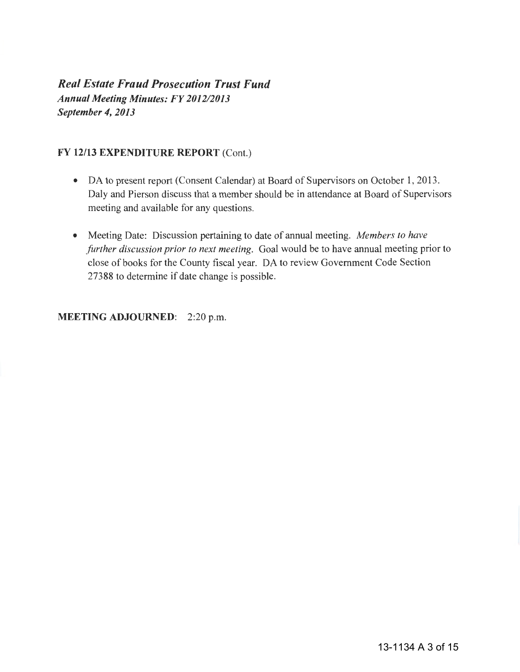*Real Estate Fraud Prosecution Trust Fund Annual Meeting Minutes: FY 2012/2013 September 4, 2013* 

#### FY 12/13 EXPENDITURE REPORT (Cont.)

- DA to present report (Consent Calendar) at Board of Supervisors on October 1, 2013. Daly and Pierson discuss that a member should be in attendance at Board of Supervisors meeting and available for any questions.
- Meeting Date: Discussion pertaining to date of annual meeting. *Members to have further discussion prior to next meeting.* Goal would be to have annual meeting prior to close of books for the County fiscal year. DA to review Government Code Section 27388 to determine if date change is possible.

MEETING ADJOURNED: 2:20 p.m.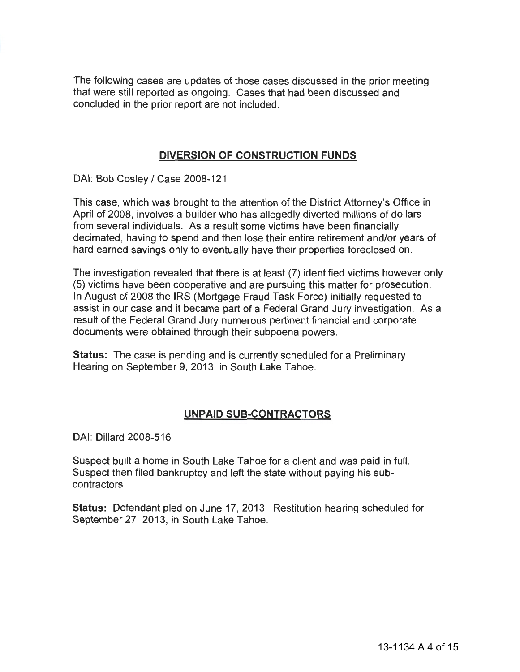The following cases are updates of those cases discussed in the prior meeting that were still reported as ongoing. Cases that had been discussed and concluded in the prior report are not included.

#### **DIVERSION OF CONSTRUCTION FUNDS**

DAI: Bob Cosley / Case 2008-121

This case, which was brought to the attention of the District Attorney's Office in April of 2008, involves a builder who has allegedly diverted millions of dollars from several individuals. As a result some victims have been financially decimated, having to spend and then lose their entire retirement and/or years of hard earned savings only to eventually have their properties foreclosed on.

The investigation revealed that there is at least (7) identified victims however only (5) victims have been cooperative and are pursuing this matter for prosecution. In August of 2008 the IRS (Mortgage Fraud Task Force) initially requested to assist in our case and it became part of a Federal Grand Jury investigation. As a result of the Federal Grand Jury numerous pertinent financial and corporate documents were obtained through their subpoena powers.

**Status:** The case is pending and is currently scheduled for a Preliminary Hearing on September 9, 2013, in South Lake Tahoe.

### **UNPAID SUB-CONTRACTORS**

DAI: Dillard 2008-516

Suspect built a home in South Lake Tahoe for a client and was paid in full. Suspect then filed bankruptcy and left the state without paying his subcontractors.

**Status:** Defendant pled on June 17, 2013. Restitution hearing scheduled for September 27, 2013, in South Lake Tahoe.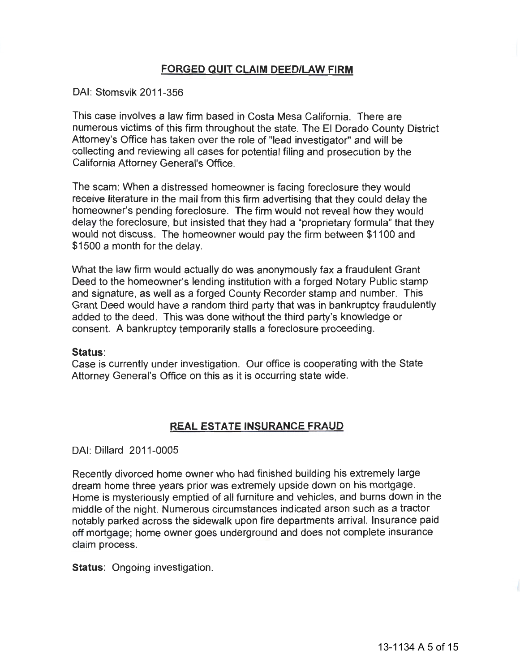### **FORGED QUIT CLAIM DEED/LAW FIRM**

#### DAI: Stomsvik 2011-356

This case involves a law firm based in Costa Mesa California. There are numerous victims of this firm throughout the state. The El Dorado County District Attorney's Office has taken over the role of "lead investigator" and will be collecting and reviewing all cases for potential filing and prosecution by the California Attorney General's Office.

The scam: When a distressed homeowner is facing foreclosure they would receive literature in the mail from this firm advertising that they could delay the homeowner's pending foreclosure. The firm would not reveal how they would delay the foreclosure, but insisted that they had a "proprietary formula" that they would not discuss. The homeowner would pay the firm between \$1100 and \$1500 a month for the delay.

What the law firm would actually do was anonymously fax a fraudulent Grant Deed to the homeowner's lending institution with a forged Notary Public stamp and signature, as well as a forged County Recorder stamp and number. This Grant Deed would have a random third party that was in bankruptcy fraudulently added to the deed. This was done without the third party's knowledge or consent. A bankruptcy temporarily stalls a foreclosure proceeding.

#### **Status:**

Case is currently under investigation. Our office is cooperating with the State Attorney General's Office on this as it is occurring state wide.

#### **REAL ESTATE INSURANCE FRAUD**

#### DAI: Dillard 2011-0005

Recently divorced home owner who had finished building his extremely large dream home three years prior was extremely upside down on his mortgage. Home is mysteriously emptied of all furniture and vehicles, and burns down in the middle of the night. Numerous circumstances indicated arson such as a tractor notably parked across the sidewalk upon fire departments arrival. Insurance paid off mortgage; home owner goes underground and does not complete insurance claim process.

**Status:** Ongoing investigation.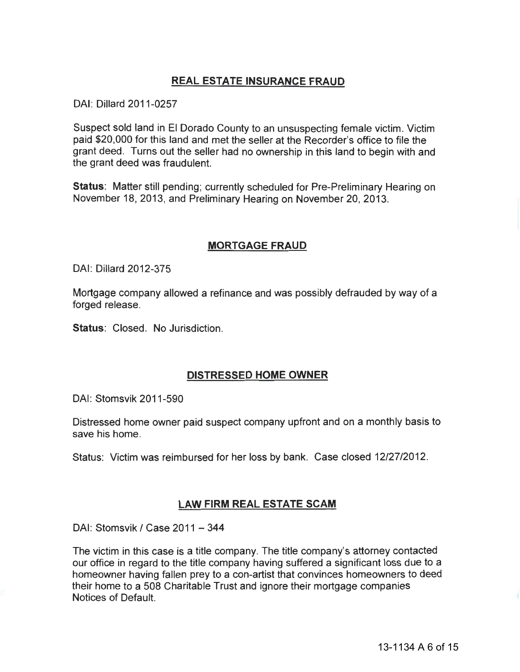### **REAL ESTATE INSURANCE FRAUD**

DAI: Dillard 2011-0257

Suspect sold land in El Dorado County to an unsuspecting female victim. Victim paid \$20,000 for this land and met the seller at the Recorder's office to file the grant deed. Turns out the seller had no ownership in this land to begin with and the grant deed was fraudulent.

**Status:** Matter still pending; currently scheduled for Pre-Preliminary Hearing on November 18, 2013, and Preliminary Hearing on November 20, 2013.

#### **MORTGAGE FRAUD**

DAI: Dillard 2012-375

Mortgage company allowed a refinance and was possibly defrauded by way of a forged release.

**Status: Closed. No Jurisdiction.** 

### **DISTRESSED HOME OWNER**

DAI: Stomsvik 2011-590

Distressed home owner paid suspect company upfront and on a monthly basis to save his home.

Status: Victim was reimbursed for her loss by bank. Case closed 12/27/2012.

#### **LAW FIRM REAL ESTATE SCAM**

DAI: Stomsvik / Case 2011 - 344

The victim in this case is a title company. The title company's attorney contacted our office in regard to the title company having suffered a significant loss due to a homeowner having fallen prey to a con-artist that convinces homeowners to deed their home to a 508 Charitable Trust and ignore their mortgage companies Notices of Default.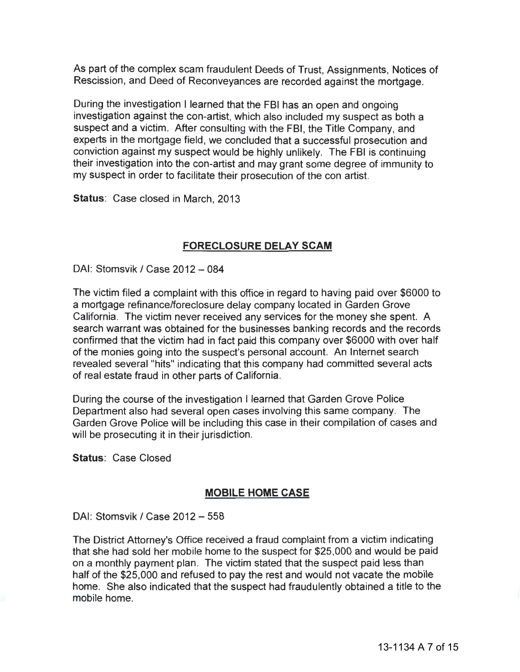As part of the complex scam fraudulent Deeds of Trust, Assignments, Notices of Rescission, and Deed of Reconveyances are recorded against the mortgage.

During the investigation I learned that the FBI has an open and ongoing investigation against the con-artist, which also included my suspect as both a suspect and a victim. After consulting with the FBI, the Title Company, and experts in the mortgage field, we concluded that a successful prosecution and conviction against my suspect would be highly unlikely. The FBI is continuing their investigation into the con-artist and may grant some degree of immunity to my suspect in order to facilitate their prosecution of the con artist.

**Status:** Case closed in March, 2013

#### **FORECLOSURE DELAY SCAM**

DAI: Stomsvik / Case 2012 - 084

The victim filed a complaint with this office in regard to having paid over \$6000 to a mortgage refinance/foreclosure delay company located in Garden Grove California. The victim never received any services for the money she spent. A search warrant was obtained for the businesses banking records and the records confirmed that the victim had in fact paid this company over \$6000 with over half of the monies going into the suspect's personal account. An Internet search revealed several"hits" indicating that this company had committed several acts of real estate fraud in other parts of California.

During the course of the investigation I learned that Garden Grove Police Department also had several open cases involving this same company. The Garden Grove Police will be including this case in their compilation of cases and will be prosecuting it in their jurisdiction.

**Status:** Case Closed

#### **MOBILE HOME CASE**

DAI: Stomsvik / Case 2012 - 558

The District Attorney's Office received a fraud complaint from a victim indicating that she had sold her mobile home to the suspect for \$25,000 and would be paid on a monthly payment plan. The victim stated that the suspect paid less than half of the \$25,000 and refused to pay the rest and would not vacate the mobile home. She also indicated that the suspect had fraudulently obtained a title to the mobile home.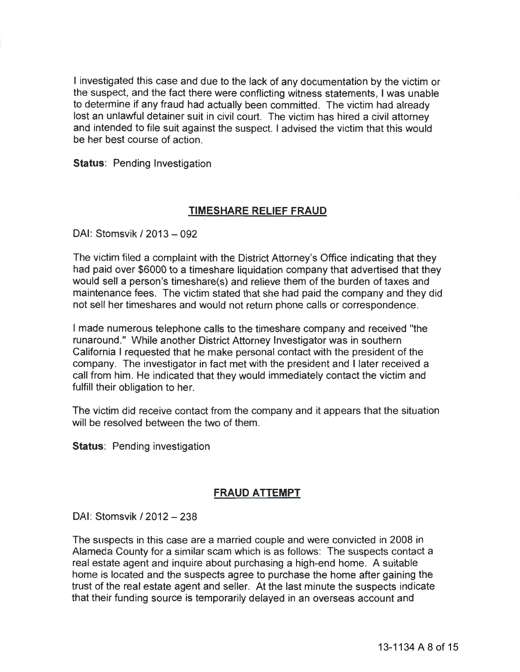I investigated this case and due to the lack of any documentation by the victim or the suspect, and the fact there were conflicting witness statements, I was unable to determine if any fraud had actually been committed. The victim had already lost an unlawful detainer suit in civil court. The victim has hired a civil attorney and intended to file suit against the suspect. I advised the victim that this would be her best course of action.

**Status: Pending Investigation** 

#### **TIMESHARE RELIEF FRAUD**

DAI: Stomsvik /2013-092

The victim filed a complaint with the District Attorney's Office indicating that they had paid over \$6000 to a timeshare liquidation company that advertised that they would sell a person's timeshare(s) and relieve them of the burden of taxes and maintenance fees. The victim stated that she had paid the company and they did not sell her timeshares and would not return phone calls or correspondence.

I made numerous telephone calls to the timeshare company and received "the runaround." While another District Attorney Investigator was in southern California I requested that he make personal contact with the president of the company. The investigator in fact met with the president and I later received a call from him. He indicated that they would immediately contact the victim and fulfill their obligation to her.

The victim did receive contact from the company and it appears that the situation will be resolved between the two of them.

**Status: Pending investigation** 

#### **FRAUD ATTEMPT**

DAI: Stomsvik / 2012 - 238

The suspects in this case are a married couple and were convicted in 2008 in Alameda County for a similar scam which is as follows: The suspects contact a real estate agent and inquire about purchasing a high-end home. A suitable home is located and the suspects agree to purchase the home after gaining the trust of the real estate agent and seller. At the last minute the suspects indicate that their funding source is temporarily delayed in an overseas account and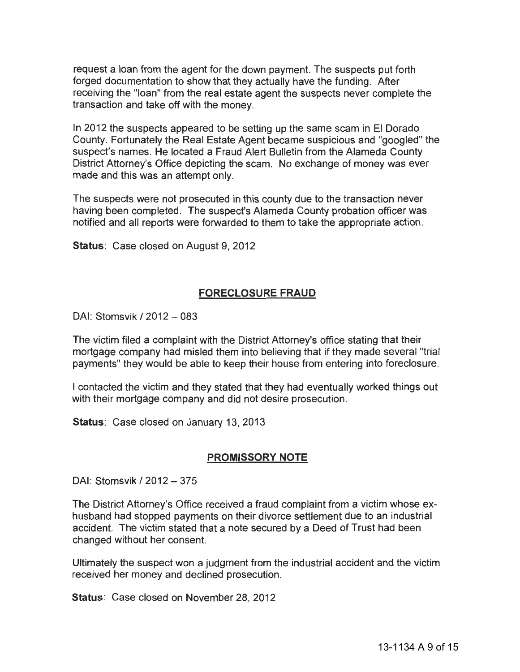request a loan from the agent for the down payment. The suspects put forth forged documentation to show that they actually have the funding. After receiving the "loan" from the real estate agent the suspects never complete the transaction and take off with the money.

In 2012 the suspects appeared to be setting up the same scam in El Dorado County. Fortunately the Real Estate Agent became suspicious and "googled" the suspect's names. He located a Fraud Alert Bulletin from the Alameda County District Attorney's Office depicting the scam. No exchange of money was ever made and this was an attempt only.

The suspects were not prosecuted in this county due to the transaction never having been completed. The suspect's Alameda County probation officer was notified and all reports were forwarded to them to take the appropriate action.

**Status:** Case closed on August 9, 2012

#### **FORECLOSURE FRAUD**

DAI: Stomsvik / 2012 - 083

The victim filed a complaint with the District Attorney's office stating that their mortgage company had misled them into believing that if they made several "trial payments" they would be able to keep their house from entering into foreclosure.

I contacted the victim and they stated that they had eventually worked things out with their mortgage company and did not desire prosecution.

**Status:** Case closed on January 13, 2013

#### **PROMISSORY NOTE**

DAI: Stomsvik / 2012 - 375

The District Attorney's Office received a fraud complaint from a victim whose exhusband had stopped payments on their divorce settlement due to an industrial accident. The victim stated that a note secured by a Deed of Trust had been changed without her consent.

Ultimately the suspect won a judgment from the industrial accident and the victim received her money and declined prosecution.

**Status:** Case closed on November 28, 2012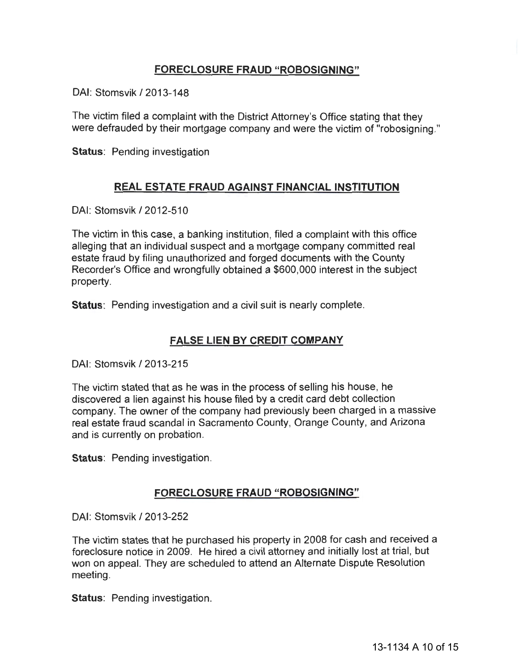### **FORECLOSURE FRAUD "ROBOSIGNING"**

DAI: Stomsvik /2013-148

The victim filed a complaint with the District Attorney's Office stating that they were defrauded by their mortgage company and were the victim of "robosigning."

**Status: Pending investigation** 

#### **REAL ESTATE FRAUD AGAINST FINANCIAL INSTITUTION**

DAI: Stomsvik /2012-510

The victim in this case, a banking institution, filed a complaint with this office alleging that an individual suspect and a mortgage company committed real estate fraud by filing unauthorized and forged documents with the County Recorder's Office and wrongfully obtained a \$600,000 interest in the subject property.

**Status:** Pending investigation and a civil suit is nearly complete.

#### **FALSE LIEN BY CREDIT COMPANY**

DAI: Stomsvik /2013-215

The victim stated that as he was in the process of selling his house, he discovered a lien against his house filed by a credit card debt collection company. The owner of the company had previously been charged in a massive real estate fraud scandal in Sacramento County, Orange County, and Arizona and is currently on probation.

**Status: Pending investigation.** 

#### **FORECLOSURE FRAUD "ROBOSIGNING"**

DAI: Stomsvik /2013-252

The victim states that he purchased his property in 2008 for cash and received a foreclosure notice in 2009. He hired a civil attorney and initially lost at trial, but won on appeal. They are scheduled to attend an Alternate Dispute Resolution meeting.

**Status:** Pending investigation.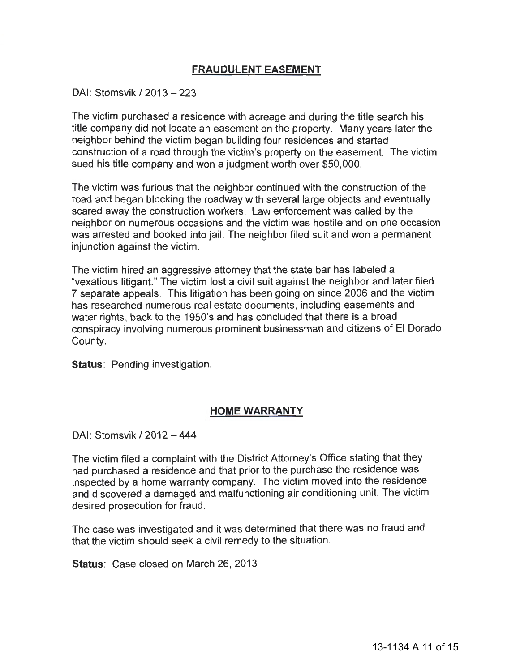#### **FRAUDULENT EASEMENT**

#### DAI: Stomsvik / 2013 - 223

The victim purchased a residence with acreage and during the title search his title company did not locate an easement on the property. Many years later the neighbor behind the victim began building four residences and started construction of a road through the victim's property on the easement. The victim sued his title company and won a judgment worth over \$50,000.

The victim was furious that the neighbor continued with the construction of the road and began blocking the roadway with several large objects and eventually scared away the construction workers. Law enforcement was called by the neighbor on numerous occasions and the victim was hostile and on one occasion was arrested and booked into jail. The neighbor filed suit and won a permanent injunction against the victim.

The victim hired an aggressive attorney that the state bar has labeled a "vexatious litigant." The victim lost a civil suit against the neighbor and later filed 7 separate appeals. This litigation has been going on since 2006 and the victim has researched numerous real estate documents, including easements and water rights, back to the 1950's and has concluded that there is a broad conspiracy involving numerous prominent businessman and citizens of El Dorado County.

**Status: Pending investigation.** 

#### **HOME WARRANTY**

DAI: Stomsvik /2012-444

The victim filed a complaint with the District Attorney's Office stating that they had purchased a residence and that prior to the purchase the residence was inspected by a home warranty company. The victim moved into the residence and discovered a damaged and malfunctioning air conditioning unit. The victim desired prosecution for fraud.

The case was investigated and it was determined that there was no fraud and that the victim should seek a civil remedy to the situation.

**Status:** Case closed on March 26, 2013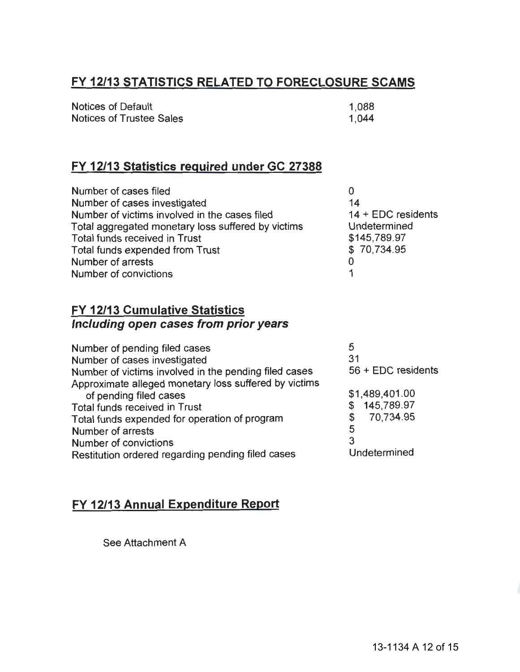# **FY 12/13 STATISTICS RELATED TO FORECLOSURE SCAMS**

| <b>Notices of Default</b> | 1.088 |
|---------------------------|-------|
| Notices of Trustee Sales  | 1.044 |

## **FY 12/13 Statistics required under GC 27388**

| Number of cases filed                              | 0                    |
|----------------------------------------------------|----------------------|
| Number of cases investigated                       | 14                   |
| Number of victims involved in the cases filed      | $14 + EDC$ residents |
| Total aggregated monetary loss suffered by victims | Undetermined         |
| <b>Total funds received in Trust</b>               | \$145,789.97         |
| Total funds expended from Trust                    | \$70,734.95          |
| Number of arrests                                  | O                    |
| Number of convictions                              |                      |

## **FY 12/13 Cumulative Statistics Including open cases from prior years**

| Number of pending filed cases                                                   | 5                  |
|---------------------------------------------------------------------------------|--------------------|
| Number of cases investigated                                                    | 31                 |
| Number of victims involved in the pending filed cases                           | 56 + EDC residents |
| Approximate alleged monetary loss suffered by victims<br>of pending filed cases | \$1,489,401.00     |
| Total funds received in Trust                                                   | 145,789.97         |
| Total funds expended for operation of program                                   | 70,734.95          |
| Number of arrests                                                               | 5                  |
| Number of convictions                                                           | 3                  |
| Restitution ordered regarding pending filed cases                               | Undetermined       |
|                                                                                 |                    |

# **FY 12/13 Annual Expenditure Report**

See Attachment A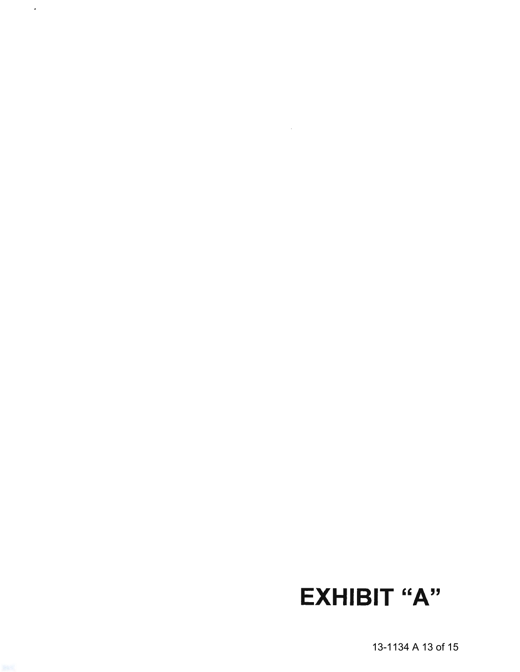13-1134 A 13 of 15

EXHIBIT "A"

 $\overline{\phantom{a}}$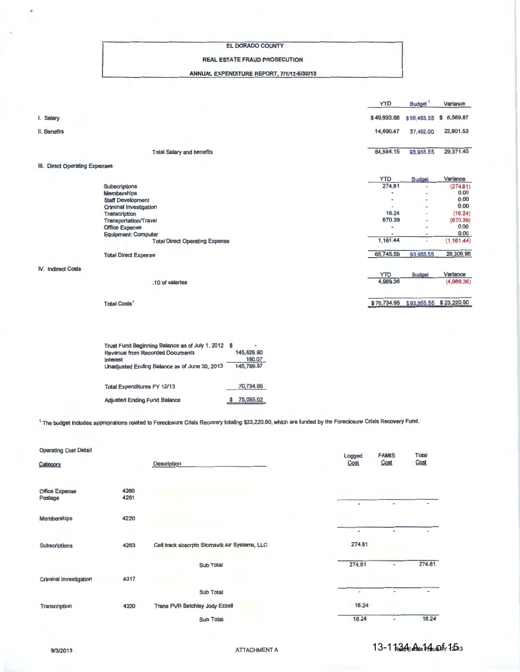#### EL DORADO COUNTY

#### REAL ESTATE FRAUD PROSECUTION

#### ANNUAL EXPENDITURE REPORT, 7/1/12-6/30/13

|                                |                                       | YTD                          | Budget <sup>1</sup>          | Variance    |
|--------------------------------|---------------------------------------|------------------------------|------------------------------|-------------|
| I. Salary                      |                                       | \$49,893.68                  | \$58,463.55                  | \$6,569.87  |
| II. Benefits                   |                                       | 14,690.47                    | 37,492.00                    | 22,801.53   |
|                                | <b>Total Salary and benefits</b>      | 64,584.15                    | 93,955.55                    | 29,371.40   |
| III. Direct Operating Expenses |                                       |                              |                              |             |
|                                |                                       | <b>YTD</b>                   | <b>Budget</b>                | Variance    |
|                                | Subscriptions                         | 274.81                       | ٠                            | (274.81)    |
|                                | <b>Memberships</b>                    |                              | ٠                            | 0.00        |
|                                | <b>Staff Development</b>              |                              | ٠                            | 0.00        |
|                                | Criminal Investigation                |                              | $\overline{a}$               | 0.00        |
|                                | Transcription                         | 16.24                        | $\blacksquare$               | (16.24)     |
|                                | Transportation/Travel                 | 870.39                       | $\overline{a}$               | (870.39)    |
|                                | Office Expense                        | $\qquad \qquad \blacksquare$ | ٠                            | 0.00        |
|                                | <b>Equipment: Computer</b>            |                              | $\qquad \qquad \blacksquare$ | 0.00        |
|                                | <b>Total Direct Operating Expense</b> | 1,161.44                     | ۰                            | (1, 161.44) |
|                                | <b>Total Direct Expense</b>           | 65,745.59                    | 93,955.55                    | 28,209.96   |
| IV. Indirect Costs             |                                       |                              |                              |             |
|                                |                                       | <b>YTD</b>                   | <b>Budget</b>                | Variance    |
|                                | .10 of salaries                       | 4,989.36                     |                              | (4,989.36)  |
|                                | <b>Total Costs</b>                    | \$70,734.95                  | \$93,955.55                  | \$23,220.60 |

| Trust Fund Beginning Balance as of July 1, 2012 \$ |            |  |
|----------------------------------------------------|------------|--|
| <b>Revenue from Recorded Documents</b>             | 145,629.90 |  |
| Interest                                           | 160.07     |  |
| Unadjusted Ending Balance as of June 30, 2013      | 145,789.97 |  |
| <b>Total Expenditures FY 12/13</b>                 | 70,734.95  |  |
| <b>Adjusted Ending Fund Balance</b>                | 75,055.02  |  |

<sup>1</sup> The budget includes approprations related to Foreclosure Crisis Recovery totaling \$23,220.60, which are funded by the Foreclosure Crisis Recovery Fund.

| <b>Operating Cost Detail</b> |              |                                               | Logged                             | <b>FAMIS</b>             | Total                    |
|------------------------------|--------------|-----------------------------------------------|------------------------------------|--------------------------|--------------------------|
| Category                     |              | Description                                   | Cost                               | Cost                     | Cost                     |
| Office Expense<br>Postage    | 4260<br>4261 |                                               | $\qquad \qquad \blacksquare$       | $\blacksquare$           | ٠                        |
| Memberships                  | 4220         |                                               |                                    |                          |                          |
| <b>Subscriptions</b>         | 4263         | Cell track sbscrptn Stomsvik Air Systems, LLC | $\overline{\phantom{0}}$<br>274.81 | $\overline{\phantom{0}}$ | $\overline{\phantom{0}}$ |
|                              |              | Sub Total                                     | 274.81                             | $\overline{\phantom{a}}$ | 274.81                   |
| Criminal Investigation       | 4317         |                                               |                                    |                          |                          |
|                              |              | Sub Total                                     | $\blacksquare$                     | $\overline{\phantom{a}}$ | $\blacksquare$           |
| Transcription                | 4320         | <b>Trans PVR Betchley Jody Ezzell</b>         | 16.24                              |                          |                          |
|                              |              | Sub Total                                     | 16.24                              | $\blacksquare$           | 16.24                    |

 $\mathbf{I}$ .

 $\hat{\theta}$